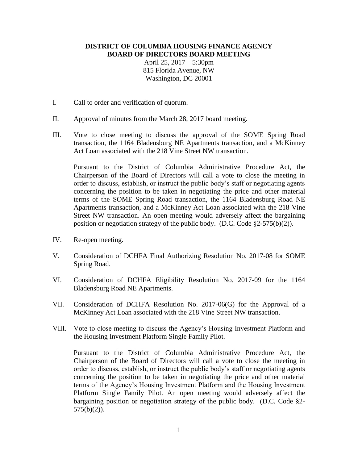## **DISTRICT OF COLUMBIA HOUSING FINANCE AGENCY BOARD OF DIRECTORS BOARD MEETING**

April 25, 2017 – 5:30pm 815 Florida Avenue, NW Washington, DC 20001

- I. Call to order and verification of quorum.
- II. Approval of minutes from the March 28, 2017 board meeting.
- III. Vote to close meeting to discuss the approval of the SOME Spring Road transaction, the 1164 Bladensburg NE Apartments transaction, and a McKinney Act Loan associated with the 218 Vine Street NW transaction.

Pursuant to the District of Columbia Administrative Procedure Act, the Chairperson of the Board of Directors will call a vote to close the meeting in order to discuss, establish, or instruct the public body's staff or negotiating agents concerning the position to be taken in negotiating the price and other material terms of the SOME Spring Road transaction, the 1164 Bladensburg Road NE Apartments transaction, and a McKinney Act Loan associated with the 218 Vine Street NW transaction. An open meeting would adversely affect the bargaining position or negotiation strategy of the public body. (D.C. Code  $\S2-575(b)(2)$ ).

- IV. Re-open meeting.
- V. Consideration of DCHFA Final Authorizing Resolution No. 2017-08 for SOME Spring Road.
- VI. Consideration of DCHFA Eligibility Resolution No. 2017-09 for the 1164 Bladensburg Road NE Apartments.
- VII. Consideration of DCHFA Resolution No. 2017-06(G) for the Approval of a McKinney Act Loan associated with the 218 Vine Street NW transaction.
- VIII. Vote to close meeting to discuss the Agency's Housing Investment Platform and the Housing Investment Platform Single Family Pilot.

Pursuant to the District of Columbia Administrative Procedure Act, the Chairperson of the Board of Directors will call a vote to close the meeting in order to discuss, establish, or instruct the public body's staff or negotiating agents concerning the position to be taken in negotiating the price and other material terms of the Agency's Housing Investment Platform and the Housing Investment Platform Single Family Pilot. An open meeting would adversely affect the bargaining position or negotiation strategy of the public body. (D.C. Code §2-  $575(b)(2)$ ).